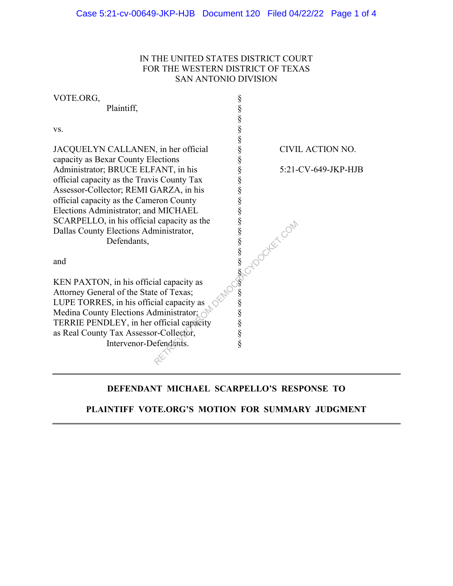### IN THE UNITED STATES DISTRICT COURT FOR THE WESTERN DISTRICT OF TEXAS SAN ANTONIO DIVISION

| VOTE.ORG,                                  |                                              |                     |
|--------------------------------------------|----------------------------------------------|---------------------|
| Plaintiff,                                 | \$\$\$\$\$\$\$\$\$\$\$\$\$\$\$\$\$\$\$\$\$\$ |                     |
|                                            |                                              |                     |
| VS.                                        |                                              |                     |
|                                            |                                              |                     |
| JACQUELYN CALLANEN, in her official        |                                              | CIVIL ACTION NO.    |
| capacity as Bexar County Elections         |                                              |                     |
| Administrator; BRUCE ELFANT, in his        |                                              | 5:21-CV-649-JKP-HJB |
| official capacity as the Travis County Tax |                                              |                     |
| Assessor-Collector; REMI GARZA, in his     |                                              |                     |
| official capacity as the Cameron County    |                                              |                     |
| Elections Administrator; and MICHAEL       |                                              |                     |
| SCARPELLO, in his official capacity as the |                                              |                     |
| Dallas County Elections Administrator,     |                                              |                     |
| Defendants,                                |                                              | NASCYDOCKEY, COM    |
|                                            |                                              |                     |
| and                                        |                                              |                     |
|                                            |                                              |                     |
| KEN PAXTON, in his official capacity as    |                                              |                     |
| Attorney General of the State of Texas;    |                                              |                     |
| LUPE TORRES, in his official capacity as   |                                              |                     |
| Medina County Elections Administrator;     |                                              |                     |
| TERRIE PENDLEY, in her official capacity   |                                              |                     |
| as Real County Tax Assessor-Collector,     |                                              |                     |
| Intervenor-Defendants.                     | §                                            |                     |
|                                            |                                              |                     |

# **DEFENDANT MICHAEL SCARPELLO'S RESPONSE TO**

## **PLAINTIFF VOTE.ORG'S MOTION FOR SUMMARY JUDGMENT**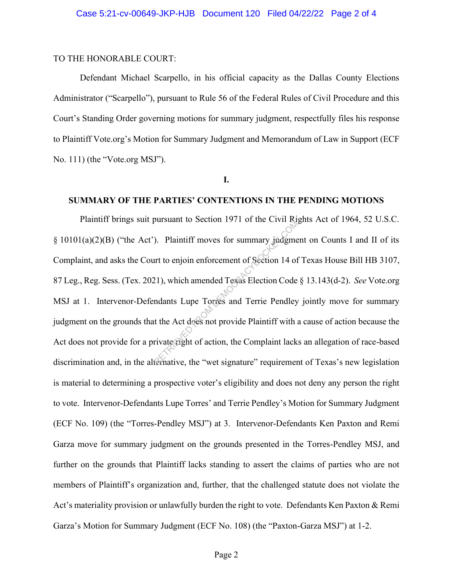#### TO THE HONORABLE COURT:

Defendant Michael Scarpello, in his official capacity as the Dallas County Elections Administrator ("Scarpello"), pursuant to Rule 56 of the Federal Rules of Civil Procedure and this Court's Standing Order governing motions for summary judgment, respectfully files his response to Plaintiff Vote.org's Motion for Summary Judgment and Memorandum of Law in Support (ECF No. 111) (the "Vote.org MSJ").

**I.**

#### **SUMMARY OF THE PARTIES' CONTENTIONS IN THE PENDING MOTIONS**

Plaintiff brings suit pursuant to Section 1971 of the Civil Rights Act of 1964, 52 U.S.C.  $\S$  10101(a)(2)(B) ("the Act"). Plaintiff moves for summary judgment on Counts I and II of its Complaint, and asks the Court to enjoin enforcement of Section 14 of Texas House Bill HB 3107, 87 Leg., Reg. Sess. (Tex. 2021), which amended Texas Election Code § 13.143(d-2). *See* Vote.org MSJ at 1. Intervenor-Defendants Lupe Torres and Terrie Pendley jointly move for summary judgment on the grounds that the Act does not provide Plaintiff with a cause of action because the Act does not provide for a private right of action, the Complaint lacks an allegation of race-based discrimination and, in the alternative, the "wet signature" requirement of Texas's new legislation is material to determining a prospective voter's eligibility and does not deny any person the right to vote. Intervenor-Defendants Lupe Torres' and Terrie Pendley's Motion for Summary Judgment (ECF No. 109) (the "Torres-Pendley MSJ") at 3. Intervenor-Defendants Ken Paxton and Remi Garza move for summary judgment on the grounds presented in the Torres-Pendley MSJ, and further on the grounds that Plaintiff lacks standing to assert the claims of parties who are not members of Plaintiff's organization and, further, that the challenged statute does not violate the Act's materiality provision or unlawfully burden the right to vote. Defendants Ken Paxton & Remi Garza's Motion for Summary Judgment (ECF No. 108) (the "Paxton-Garza MSJ") at 1-2. The Civil Agriculture Civil Agriculture Civil Agriculture Civil Act to enjoin enforcement of Section 14 of<br>21), which amended Texas Election Code<br>ndants Lupe Torres and Terrie Pendley<br>t the Act does not provide Plaintiff w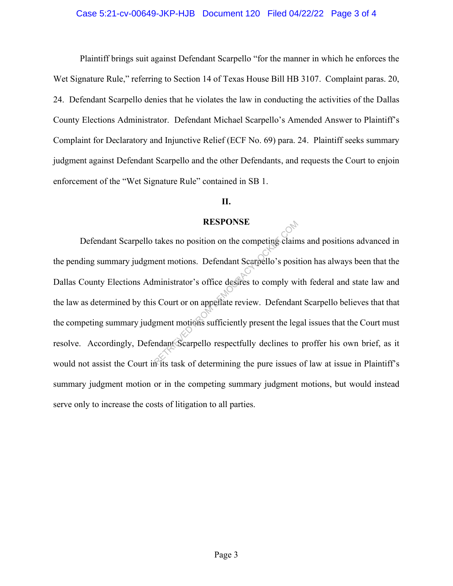### Case 5:21-cv-00649-JKP-HJB Document 120 Filed 04/22/22 Page 3 of 4

Plaintiff brings suit against Defendant Scarpello "for the manner in which he enforces the Wet Signature Rule," referring to Section 14 of Texas House Bill HB 3107. Complaint paras. 20, 24. Defendant Scarpello denies that he violates the law in conducting the activities of the Dallas County Elections Administrator. Defendant Michael Scarpello's Amended Answer to Plaintiff's Complaint for Declaratory and Injunctive Relief (ECF No. 69) para. 24. Plaintiff seeks summary judgment against Defendant Scarpello and the other Defendants, and requests the Court to enjoin enforcement of the "Wet Signature Rule" contained in SB 1.

### **II.**

#### **RESPONSE**

Defendant Scarpello takes no position on the competing claims and positions advanced in the pending summary judgment motions. Defendant Scarpello's position has always been that the Dallas County Elections Administrator's office desires to comply with federal and state law and the law as determined by this Court or on appellate review. Defendant Scarpello believes that that the competing summary judgment motions sufficiently present the legal issues that the Court must resolve. Accordingly, Defendant Scarpello respectfully declines to proffer his own brief, as it would not assist the Court in its task of determining the pure issues of law at issue in Plaintiff's summary judgment motion or in the competing summary judgment motions, but would instead serve only to increase the costs of litigation to all parties. RESPONSE<br>
takes no position on the competing clain<br>
ent motions. Defendant Scarpello's posi<br>
ministrator's office desires to comply wis<br>
SCourt or on appellate review. Defendant<br>
gment motions sufficiently present the leg<br>